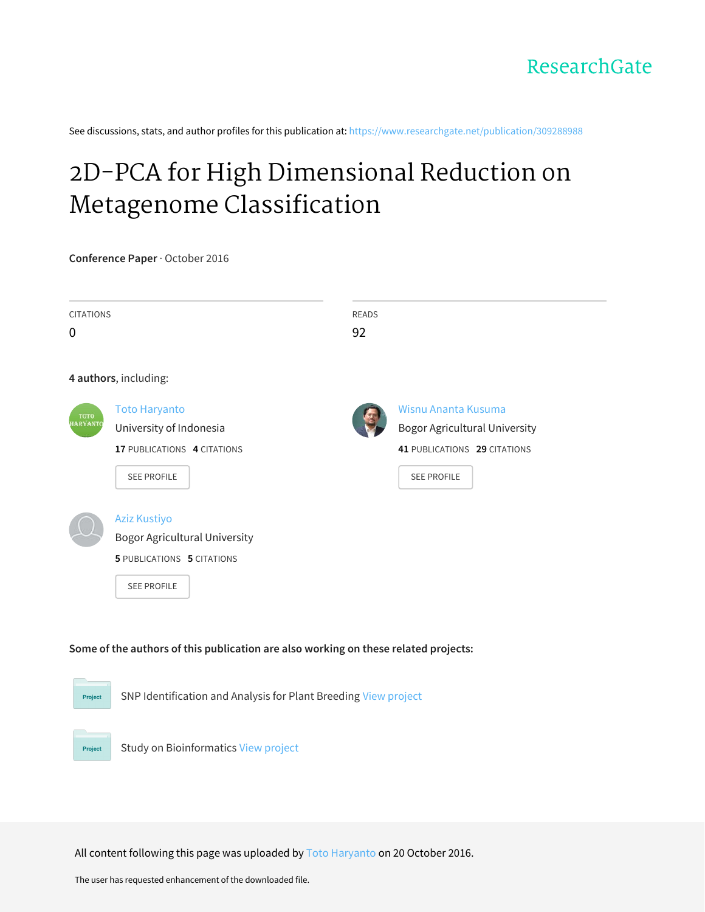See discussions, stats, and author profiles for this publication at: [https://www.researchgate.net/publication/309288988](https://www.researchgate.net/publication/309288988_2D-PCA_for_High_Dimensional_Reduction_on_Metagenome_Classification?enrichId=rgreq-caa08507f1f3678cf7f90150c055468f-XXX&enrichSource=Y292ZXJQYWdlOzMwOTI4ODk4ODtBUzo0MTkxMDA3ODc1Mjc2ODFAMTQ3NjkzMjgyMjQ3Mg%3D%3D&el=1_x_2&_esc=publicationCoverPdf)

# 2D-PCA for High Dimensional Reduction on Metagenome [Classification](https://www.researchgate.net/publication/309288988_2D-PCA_for_High_Dimensional_Reduction_on_Metagenome_Classification?enrichId=rgreq-caa08507f1f3678cf7f90150c055468f-XXX&enrichSource=Y292ZXJQYWdlOzMwOTI4ODk4ODtBUzo0MTkxMDA3ODc1Mjc2ODFAMTQ3NjkzMjgyMjQ3Mg%3D%3D&el=1_x_3&_esc=publicationCoverPdf)

**Conference Paper** · October 2016

| <b>CITATIONS</b><br>$\mathbf 0$                                                     |                                                                                                                        | <b>READS</b><br>92 |                                                                                                                   |  |
|-------------------------------------------------------------------------------------|------------------------------------------------------------------------------------------------------------------------|--------------------|-------------------------------------------------------------------------------------------------------------------|--|
|                                                                                     | 4 authors, including:                                                                                                  |                    |                                                                                                                   |  |
| тото<br><b>IARYANTO</b>                                                             | <b>Toto Haryanto</b><br>University of Indonesia<br>17 PUBLICATIONS 4 CITATIONS<br><b>SEE PROFILE</b>                   |                    | Wisnu Ananta Kusuma<br><b>Bogor Agricultural University</b><br>41 PUBLICATIONS 29 CITATIONS<br><b>SEE PROFILE</b> |  |
|                                                                                     | <b>Aziz Kustiyo</b><br><b>Bogor Agricultural University</b><br><b>5 PUBLICATIONS 5 CITATIONS</b><br><b>SEE PROFILE</b> |                    |                                                                                                                   |  |
| Some of the authors of this publication are also working on these related projects: |                                                                                                                        |                    |                                                                                                                   |  |
| SNP Identification and Analysis for Plant Breeding View project<br>Project          |                                                                                                                        |                    |                                                                                                                   |  |
| <b>Project</b>                                                                      | <b>Study on Bioinformatics View project</b>                                                                            |                    |                                                                                                                   |  |

All content following this page was uploaded by Toto [Haryanto](https://www.researchgate.net/profile/Toto_Haryanto2?enrichId=rgreq-caa08507f1f3678cf7f90150c055468f-XXX&enrichSource=Y292ZXJQYWdlOzMwOTI4ODk4ODtBUzo0MTkxMDA3ODc1Mjc2ODFAMTQ3NjkzMjgyMjQ3Mg%3D%3D&el=1_x_10&_esc=publicationCoverPdf) on 20 October 2016.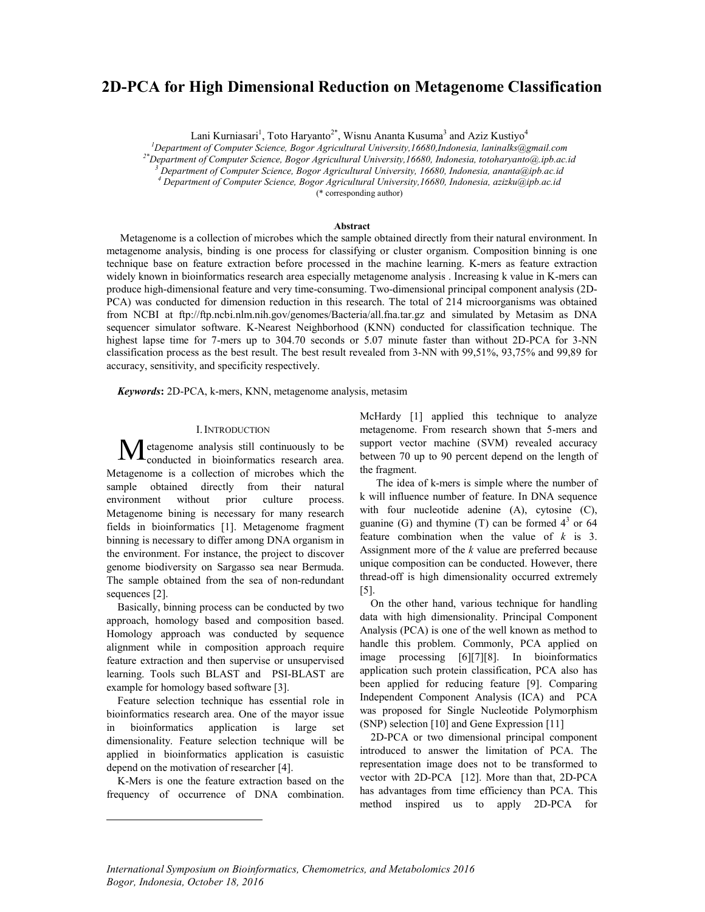# 2D-PCA for High Dimensional Reduction on Metagenome Classification

Lani Kurniasari<sup>1</sup>, Toto Haryanto<sup>2\*</sup>, Wisnu Ananta Kusuma<sup>3</sup> and Aziz Kustiyo<sup>4</sup>

<sup>1</sup>Department of Computer Science, Bogor Agricultural University, 16680, Indonesia, laninalks@gmail.com Department of Computer Science, Bogor Agricultural University,16680,Indonesia, laninalks@gmail.com "<br><sup>2\*</sup>Department of Computer Science, Bogor Agricultural University,16680, Indonesia, totoharyanto@.ipb.ac.id

<sup>3</sup> Department of Computer Science, Bogor Agricultural University, 16680, Indonesia, ananta@ipb.ac.id<br><sup>4</sup> Department of Computer Science, Bogor Agricultural University, 16680, Indonesia, azizku@ipb.ac.id

(\* corresponding author)

# Abstract

 Metagenome is a collection of microbes which the sample obtained directly from their natural environment. In metagenome analysis, binding is one process for classifying or cluster organism. Composition binning is one technique base on feature extraction before processed in the machine learning. K-mers as feature extraction widely known in bioinformatics research area especially metagenome analysis. Increasing k value in K-mers can produce high-dimensional feature and very time-consuming. Two-dimensional principal component analysis (2D-PCA) was conducted for dimension reduction in this research. The total of 214 microorganisms was obtained from NCBI at ftp://ftp.ncbi.nlm.nih.gov/genomes/Bacteria/all.fna.tar.gz and simulated by Metasim as DNA sequencer simulator software. K-Nearest Neighborhood (KNN) conducted for classification technique. The highest lapse time for 7-mers up to 304.70 seconds or 5.07 minute faster than without 2D-PCA for 3-NN classification process as the best result. The best result revealed from 3-NN with 99,51%, 93,75% and 99,89 for accuracy, sensitivity, and specificity respectively.

*Keywords*: 2D-PCA, k-mers, KNN, metagenome analysis, metasim

#### I.INTRODUCTION

etagenome analysis still continuously to be conducted in bioinformatics research area. Metagenome is a collection of microbes which the sample obtained directly from their natural environment without prior culture process. Metagenome bining is necessary for many research fields in bioinformatics [1]. Metagenome fragment binning is necessary to differ among DNA organism in the environment. For instance, the project to discover genome biodiversity on Sargasso sea near Bermuda. The sample obtained from the sea of non-redundant sequences [2]. M

Basically, binning process can be conducted by two approach, homology based and composition based. Homology approach was conducted by sequence alignment while in composition approach require feature extraction and then supervise or unsupervised learning. Tools such BLAST and PSI-BLAST are example for homology based software [3].

Feature selection technique has essential role in bioinformatics research area. One of the mayor issue in bioinformatics application is large set dimensionality. Feature selection technique will be applied in bioinformatics application is casuistic depend on the motivation of researcher [4].

K-Mers is one the feature extraction based on the frequency of occurrence of DNA combination.

 $\overline{a}$ 

McHardy [1] applied this technique to analyze metagenome. From research shown that 5-mers and support vector machine (SVM) revealed accuracy between 70 up to 90 percent depend on the length of the fragment.

The idea of k-mers is simple where the number of k will influence number of feature. In DNA sequence with four nucleotide adenine (A), cytosine (C), guanine (G) and thymine (T) can be formed  $4<sup>3</sup>$  or 64 feature combination when the value of *k* is 3. Assignment more of the *k* value are preferred because unique composition can be conducted. However, there thread-off is high dimensionality occurred extremely [5].

On the other hand, various technique for handling data with high dimensionality. Principal Component Analysis (PCA) is one of the well known as method to handle this problem. Commonly, PCA applied on image processing [6][7][8]. In bioinformatics application such protein classification, PCA also has been applied for reducing feature [9]. Comparing Independent Component Analysis (ICA) and PCA was proposed for Single Nucleotide Polymorphism (SNP) selection [10] and Gene Expression [11]

2D-PCA or two dimensional principal component introduced to answer the limitation of PCA. The representation image does not to be transformed to vector with 2D-PCA [12]. More than that, 2D-PCA has advantages from time efficiency than PCA. This method inspired us to apply 2D-PCA for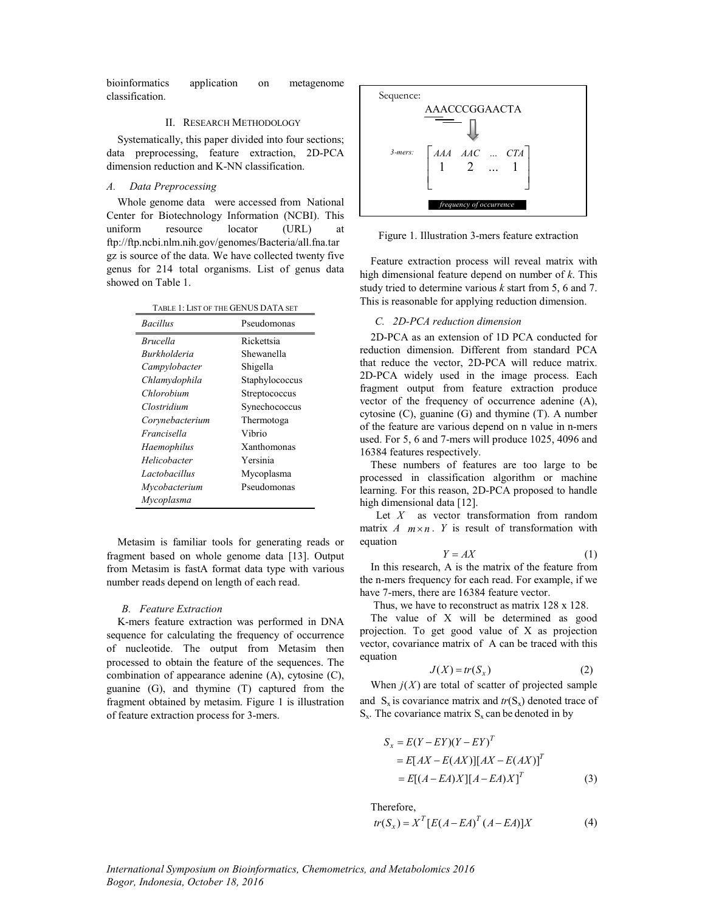bioinformatics application on metagenome classification.

#### II. RESEARCH METHODOLOGY

Systematically, this paper divided into four sections; data preprocessing, feature extraction, 2D-PCA dimension reduction and K-NN classification.

# *A. Data Preprocessing*

Whole genome data were accessed from National Center for Biotechnology Information (NCBI). This uniform resource locator (URL) at ftp://ftp.ncbi.nlm.nih.gov/genomes/Bacteria/all.fna.tar gz is source of the data. We have collected twenty five genus for 214 total organisms. List of genus data showed on Table 1.

| TABLE 1: LIST OF THE GENUS DATA SET |                |  |
|-------------------------------------|----------------|--|
| <i>Bacillus</i>                     | Pseudomonas    |  |
| <i>Brucella</i>                     | Rickettsia     |  |
| Burkholderia                        | Shewanella     |  |
| Campylobacter                       | Shigella       |  |
| Chlamydophila                       | Staphylococcus |  |
| Chlorobium                          | Streptococcus  |  |
| Clostridium                         | Synechococcus  |  |
| Corynebacterium                     | Thermotoga     |  |
| Francisella                         | Vibrio         |  |
| Haemophilus                         | Xanthomonas    |  |
| Helicobacter                        | Yersinia       |  |
| Lactobacillus                       | Mycoplasma     |  |
| Mycobacterium                       | Pseudomonas    |  |
| Mycoplasma                          |                |  |

Metasim is familiar tools for generating reads or fragment based on whole genome data [13]. Output from Metasim is fastA format data type with various number reads depend on length of each read.

# *B. Feature Extraction*

K-mers feature extraction was performed in DNA sequence for calculating the frequency of occurrence of nucleotide. The output from Metasim then processed to obtain the feature of the sequences. The combination of appearance adenine (A), cytosine (C), guanine (G), and thymine (T) captured from the fragment obtained by metasim. Figure 1 is illustration of feature extraction process for 3-mers.



Figure 1. Illustration 3-mers feature extraction

Feature extraction process will reveal matrix with high dimensional feature depend on number of *k*. This study tried to determine various *k* start from 5, 6 and 7. This is reasonable for applying reduction dimension.

# *C. 2D-PCA reduction dimension*

2D-PCA as an extension of 1D PCA conducted for reduction dimension. Different from standard PCA that reduce the vector, 2D-PCA will reduce matrix. 2D-PCA widely used in the image process. Each fragment output from feature extraction produce vector of the frequency of occurrence adenine (A), cytosine (C), guanine (G) and thymine (T). A number of the feature are various depend on n value in n-mers used. For 5, 6 and 7-mers will produce 1025, 4096 and 16384 features respectively.

These numbers of features are too large to be processed in classification algorithm or machine learning. For this reason, 2D-PCA proposed to handle high dimensional data [12].

Let *X* as vector transformation from random matrix  $A$   $m \times n$ .  $Y$  is result of transformation with equation

$$
Y = AX \tag{1}
$$

In this research, A is the matrix of the feature from the n-mers frequency for each read. For example, if we have 7-mers, there are 16384 feature vector.

Thus, we have to reconstruct as matrix 128 x 128.

The value of X will be determined as good projection. To get good value of X as projection vector, covariance matrix of A can be traced with this equation

$$
J(X) = tr(S_x)
$$
 (2)

When  $j(X)$  are total of scatter of projected sample and  $S_x$  is covariance matrix and  $tr(S_x)$  denoted trace of  $S_x$ . The covariance matrix  $S_x$  can be denoted in by

$$
S_x = E(Y - EY)(Y - EY)^T
$$
  
= 
$$
E[AX - E(AX)][AX - E(AX)]^T
$$
  
= 
$$
E[(A - EA)X][A - EA)X]^T
$$
 (3)

Therefore,

$$
tr(S_x) = X^T [E(A - EA)^T (A - EA)]X
$$
 (4)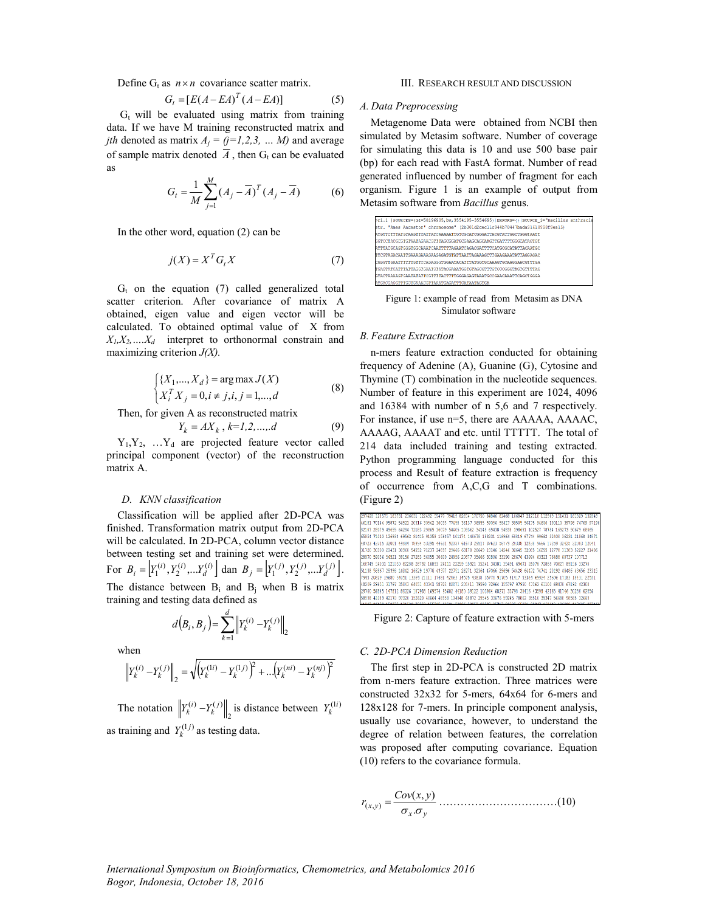Define  $G_t$  as  $n \times n$  covariance scatter matrix.

$$
G_t = [E(A - EA)^T (A - EA)] \tag{5}
$$

 $G_t$  will be evaluated using matrix from training data. If we have M training reconstructed matrix and *jth* denoted as matrix  $A_i = (j=1,2,3, \dots M)$  and average of sample matrix denoted  $A$ , then  $G_t$  can be evaluated as

$$
G_{t} = \frac{1}{M} \sum_{j=1}^{M} (A_{j} - \overline{A})^{T} (A_{j} - \overline{A})
$$
 (6)

In the other word, equation (2) can be

$$
j(X) = X^T G_t X \tag{7}
$$

 $G_t$  on the equation (7) called generalized total scatter criterion. After covariance of matrix A obtained, eigen value and eigen vector will be calculated. To obtained optimal value of X from  $X_1, X_2, \ldots, X_d$  interpret to orthonormal constrain and maximizing criterion *J(X).*

$$
\begin{cases} \{X_1, ..., X_d\} = \arg \max J(X) \\ X_i^T X_j = 0, i \neq j, i, j = 1, ..., d \end{cases}
$$
 (8)

Then, for given A as reconstructed matrix

$$
Y_k = AX_k, k=1,2,...,d
$$
 (9)

 $Y_1, Y_2, \ldots, Y_d$  are projected feature vector called principal component (vector) of the reconstruction matrix A.

#### *D. KNN classification*

Classification will be applied after 2D-PCA was finished. Transformation matrix output from 2D-PCA will be calculated. In 2D-PCA, column vector distance between testing set and training set were determined. For  $B_i = \left[ Y_1^{(i)}, Y_2^{(i)}, \dots Y_d^{(i)} \right]$  dan  $B_j = \left[ Y_1^{(j)}, Y_2^{(j)}, \dots Y_d^{(j)} \right]$ . The distance between  $B_i$  and  $B_j$  when B is matrix training and testing data defined as

$$
d(B_i, B_j) = \sum_{k=1}^d \left\| Y_k^{(i)} - Y_k^{(j)} \right\|_2
$$

when

$$
\left\| Y_k^{(i)} - Y_k^{(j)} \right\|_2 = \sqrt{\left( Y_k^{(1i)} - Y_k^{(1j)} \right)^2 + \dots + \left( Y_k^{(ni)} - Y_k^{(nj)} \right)^2}
$$

The notation  $\left\| Y_k^{(1)} - Y_k^{(1)} \right\|_2$  $\left\| Y_k^{(i)} - Y_k^{(j)} \right\|_2$  is distance between  $Y_k^{(1i)}$ as training and  $Y_k^{(1)}$  as testing data.

#### III. RESEARCH RESULT AND DISCUSSION

# *A. Data Preprocessing*

Metagenome Data were obtained from NCBI then simulated by Metasim software. Number of coverage for simulating this data is 10 and use 500 base pair (bp) for each read with FastA format. Number of read generated influenced by number of fragment for each organism. Figure 1 is an example of output from Metasim software from *Bacillus* genus.



Figure 1: example of read from Metasim as DNA Simulator software

#### *B. Feature Extraction*

n-mers feature extraction conducted for obtaining frequency of Adenine (A), Guanine (G), Cytosine and Thymine (T) combination in the nucleotide sequences. Number of feature in this experiment are 1024, 4096 and 16384 with number of n 5,6 and 7 respectively. For instance, if use n=5, there are AAAAA, AAAAC, AAAAG, AAAAT and etc. until TTTTT. The total of 214 data included training and testing extracted. Python programming language conducted for this process and Result of feature extraction is frequency of occurrence from A,C,G and T combinations. (Figure 2)



Figure 2: Capture of feature extraction with 5-mers

# *C. 2D-PCA Dimension Reduction*

The first step in 2D-PCA is constructed 2D matrix from n-mers feature extraction. Three matrices were constructed 32x32 for 5-mers, 64x64 for 6-mers and 128x128 for 7-mers. In principle component analysis, usually use covariance, however, to understand the degree of relation between features, the correlation was proposed after computing covariance. Equation (10) refers to the covariance formula.

*x y x y Cov <sup>x</sup> <sup>y</sup> <sup>r</sup>* . ( , ) ( , ) ……………………………(10)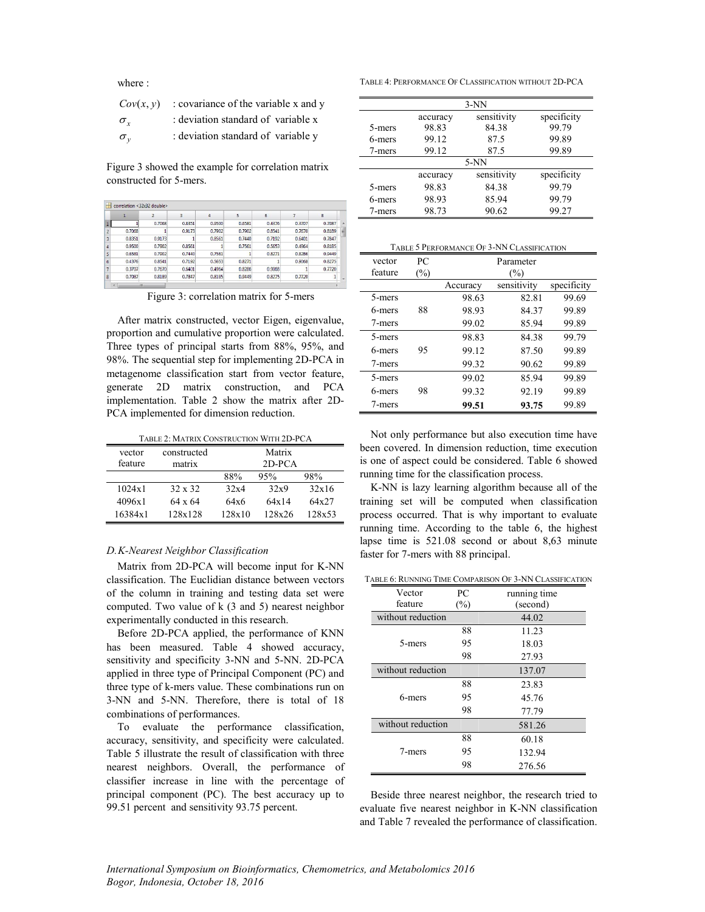where :

| Cov(x, y)    | : covariance of the variable x and y |
|--------------|--------------------------------------|
| $\sigma_{r}$ | : deviation standard of variable x   |
| $\sigma_{v}$ | : deviation standard of variable y   |

Figure 3 showed the example for correlation matrix constructed for 5-mers.

|                |        |        | 3      | 4      | 5      | 6      |        | 8      |    |
|----------------|--------|--------|--------|--------|--------|--------|--------|--------|----|
| 1              |        | 0.7068 | 0.8351 | 0.9500 | 0.6581 | 0.4376 | 0.3707 | 0.7087 | A. |
| $\overline{2}$ | 0.7068 |        | 0.9173 | 0.7902 | 0.7902 | 0.8541 | 0.7670 | 0.8189 | Ξ  |
| 3              | 0.8351 | 0.9173 |        | 0.8561 | 0.7440 | 0.7192 | 0.6401 | 0.7847 |    |
| 4              | 0.9500 | 0.7902 | 0.8561 | 1      | 0.7561 | 0.5653 | 0,4964 | 0.8185 |    |
| 5              | 0.6581 | 0.7902 | 0.7440 | 0.7561 |        | 0.8271 | 0.8286 | 0.9449 |    |
| 6              | 0.4376 | 0.8541 | 0.7192 | 0.5653 | 0.8271 |        | 0.9068 | 0.8275 |    |
|                | 0.3707 | 0.7670 | 0.6401 | 0.4964 | 0.8286 | 0.9068 |        | 0.7720 |    |
| 8              | 0.7087 | 0.8189 | 0.7847 | 0.8185 | 0.9449 | 0.8275 | 0,7720 | 1      |    |
|                | m      |        |        |        |        |        |        |        |    |

Figure 3: correlation matrix for 5-mers

After matrix constructed, vector Eigen, eigenvalue, proportion and cumulative proportion were calculated. Three types of principal starts from 88%, 95%, and 98%. The sequential step for implementing 2D-PCA in metagenome classification start from vector feature, generate 2D matrix construction, and PCA implementation. Table 2 show the matrix after 2D-PCA implemented for dimension reduction.

| vector  | constructed    |        | Matrix   |        |
|---------|----------------|--------|----------|--------|
| feature | matrix         |        | $2D-PCA$ |        |
|         |                | 88%    | 95%      | 98%    |
| 1024x1  | $32 \times 32$ | 32x4   | 32x9     | 32x16  |
| 4096x1  | 64 x 64        | 64x6   | 64x14    | 64x27  |
| 16384x1 | 128x128        | 128x10 | 128x26   | 128x53 |

# *D.K-Nearest Neighbor Classification*

Matrix from 2D-PCA will become input for K-NN classification. The Euclidian distance between vectors of the column in training and testing data set were computed. Two value of k (3 and 5) nearest neighbor experimentally conducted in this research.

Before 2D-PCA applied, the performance of KNN has been measured. Table 4 showed accuracy, sensitivity and specificity 3-NN and 5-NN. 2D-PCA applied in three type of Principal Component (PC) and three type of k-mers value. These combinations run on 3-NN and 5-NN. Therefore, there is total of 18 combinations of performances.

To evaluate the performance classification, accuracy, sensitivity, and specificity were calculated. Table 5 illustrate the result of classification with three nearest neighbors. Overall, the performance of classifier increase in line with the percentage of principal component (PC). The best accuracy up to 99.51 percent and sensitivity 93.75 percent.

TABLE 4: PERFORMANCE OF CLASSIFICATION WITHOUT 2D-PCA

| $3-NN$                                 |          |             |             |  |  |
|----------------------------------------|----------|-------------|-------------|--|--|
|                                        | accuracy | sensitivity | specificity |  |  |
| 5-mers                                 | 98.83    | 84.38       | 99.79       |  |  |
| 6-mers                                 | 99.12    | 87.5        | 99.89       |  |  |
| 7-mers                                 | 99.12    | 87.5        | 99.89       |  |  |
|                                        | $5-NN$   |             |             |  |  |
| sensitivity<br>specificity<br>accuracy |          |             |             |  |  |
| 5-mers                                 | 98.83    | 84.38       | 99.79       |  |  |
| 6-mers                                 | 98.93    | 85.94       | 99.79       |  |  |
| 7-mers                                 | 98.73    | 90.62       | 99.27       |  |  |

| TABLE 5 PERFORMANCE OF 3-NN CLASSIFICATION |  |
|--------------------------------------------|--|
|--------------------------------------------|--|

| vector  | PС     | Parameter |             |             |  |
|---------|--------|-----------|-------------|-------------|--|
| feature | $(\%)$ | $(\%)$    |             |             |  |
|         |        | Accuracy  | sensitivity | specificity |  |
| 5-mers  |        | 98.63     | 82.81       | 99.69       |  |
| 6-mers  | 88     | 98.93     | 84.37       | 99.89       |  |
| 7-mers  |        | 99.02     | 85.94       | 99.89       |  |
| 5-mers  |        | 98.83     | 84.38       | 99.79       |  |
| 6-mers  | 95     | 99.12     | 87.50       | 99.89       |  |
| 7-mers  |        | 99.32     | 90.62       | 99.89       |  |
| 5-mers  |        | 99.02     | 85.94       | 99.89       |  |
| 6-mers  | 98     | 99.32     | 92.19       | 99.89       |  |
| 7-mers  |        | 99.51     | 93.75       | 99.89       |  |

Not only performance but also execution time have been covered. In dimension reduction, time execution is one of aspect could be considered. Table 6 showed running time for the classification process.

K-NN is lazy learning algorithm because all of the training set will be computed when classification process occurred. That is why important to evaluate running time. According to the table 6, the highest lapse time is 521.08 second or about 8,63 minute faster for 7-mers with 88 principal.

TABLE 6: RUNNING TIME COMPARISON OF 3-NN CLASSIFICATION

| Vector            | PC     | running time |
|-------------------|--------|--------------|
| feature           | $(\%)$ | (second)     |
| without reduction |        | 44.02        |
|                   | 88     | 11.23        |
| 5-mers            | 95     | 18.03        |
|                   | 98     | 27.93        |
| without reduction |        | 137.07       |
|                   | 88     | 23.83        |
| 6-mers            | 95     | 45.76        |
|                   | 98     | 77.79        |
| without reduction |        | 581.26       |
|                   | 88     | 60.18        |
| 7-mers            | 95     | 132.94       |
|                   | 98     | 276.56       |

Beside three nearest neighbor, the research tried to evaluate five nearest neighbor in K-NN classification and Table 7 revealed the performance of classification.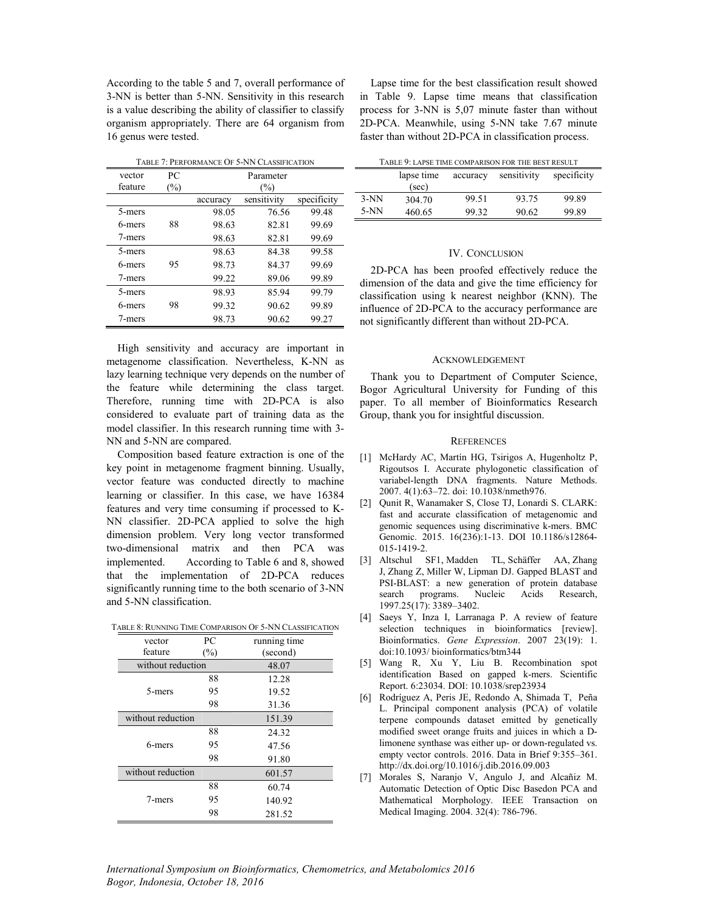According to the table 5 and 7, overall performance of 3-NN is better than 5-NN. Sensitivity in this research is a value describing the ability of classifier to classify organism appropriately. There are 64 organism from 16 genus were tested.

|         | TABLE 7: PERFORMANCE OF 5-NN CLASSIFICATION |          |             |             |  |  |
|---------|---------------------------------------------|----------|-------------|-------------|--|--|
| vector  | PС                                          |          | Parameter   |             |  |  |
| feature | $(\%)$                                      |          | (%)         |             |  |  |
|         |                                             | accuracy | sensitivity | specificity |  |  |
| 5-mers  |                                             | 98.05    | 76.56       | 99.48       |  |  |
| 6-mers  | 88                                          | 98.63    | 82.81       | 99.69       |  |  |
| 7-mers  |                                             | 98.63    | 82.81       | 99.69       |  |  |
| 5-mers  |                                             | 98.63    | 84.38       | 99.58       |  |  |
| 6-mers  | 95                                          | 98.73    | 84.37       | 99.69       |  |  |
| 7-mers  |                                             | 99.22    | 89.06       | 99.89       |  |  |
| 5-mers  |                                             | 98.93    | 85.94       | 99.79       |  |  |
| 6-mers  | 98                                          | 99.32    | 90.62       | 99.89       |  |  |
| 7-mers  |                                             | 98.73    | 90.62       | 99.27       |  |  |

High sensitivity and accuracy are important in metagenome classification. Nevertheless, K-NN as lazy learning technique very depends on the number of the feature while determining the class target. Therefore, running time with 2D-PCA is also considered to evaluate part of training data as the model classifier. In this research running time with 3- NN and 5-NN are compared.

Composition based feature extraction is one of the key point in metagenome fragment binning. Usually, vector feature was conducted directly to machine learning or classifier. In this case, we have 16384 features and very time consuming if processed to K-NN classifier. 2D-PCA applied to solve the high dimension problem. Very long vector transformed two-dimensional matrix and then PCA was implemented. According to Table 6 and 8, showed that the implementation of 2D-PCA reduces significantly running time to the both scenario of 3-NN and 5-NN classification.

TABLE 8: RUNNING TIME COMPARISON OF 5-NN CLASSIFICATION

| vector            | PС     | running time |
|-------------------|--------|--------------|
| feature           | $(\%)$ | (second)     |
| without reduction |        | 48.07        |
|                   | 88     | 12.28        |
| 5-mers            | 95     | 19.52        |
|                   | 98     | 31.36        |
| without reduction |        | 151.39       |
|                   | 88     | 24.32        |
| 6-mers            | 95     | 47.56        |
|                   | 98     | 91.80        |
| without reduction |        | 601.57       |
|                   | 88     | 60.74        |
| 7-mers            | 95     | 140.92       |
|                   | 98     | 281.52       |

Lapse time for the best classification result showed in Table 9. Lapse time means that classification process for 3-NN is 5,07 minute faster than without 2D-PCA. Meanwhile, using 5-NN take 7.67 minute faster than without 2D-PCA in classification process.

| TABLE 9: LAPSE TIME COMPARISON FOR THE BEST RESULT |  |
|----------------------------------------------------|--|
|                                                    |  |

| TABLE 7. LAFSE TIME COMITANISON FON THE BEST NESULT | lapse time<br>(sec) | accuracy | sensitivity | specificity |
|-----------------------------------------------------|---------------------|----------|-------------|-------------|
| $3-NN$                                              | 304.70              | 99.51    | 93.75       | 99.89       |
| $5-NN$                                              | 460.65              | 99.32    | 90.62       | 99.89       |

# IV. CONCLUSION

2D-PCA has been proofed effectively reduce the dimension of the data and give the time efficiency for classification using k nearest neighbor (KNN). The influence of 2D-PCA to the accuracy performance are not significantly different than without 2D-PCA.

#### ACKNOWLEDGEMENT

Thank you to Department of Computer Science, Bogor Agricultural University for Funding of this paper. To all member of Bioinformatics Research Group, thank you for insightful discussion.

#### **REFERENCES**

- [1] McHardy AC, Martín HG, Tsirigos A, Hugenholtz P, Rigoutsos I. Accurate phylogonetic classification of variabel-length DNA fragments. Nature Methods. 2007. 4(1):63–72. doi: 10.1038/nmeth976.
- [2] Qunit R, Wanamaker S, Close TJ, Lonardi S. CLARK: fast and accurate classification of metagenomic and genomic sequences using discriminative k-mers. BMC Genomic. 2015. 16(236):1-13. DOI 10.1186/s12864- 015-1419-2.
- [3] Altschul SF1, Madden TL, Schäffer AA, Zhang J, Zhang Z, Miller W, Lipman DJ. Gapped BLAST and PSI-BLAST: a new generation of protein database search programs. Nucleic Acids Research, 1997.25(17): 3389–3402.
- [4] Saeys Y, Inza I, Larranaga P. A review of feature selection techniques in bioinformatics [review]. Bioinformatics. *Gene Expression*. 2007 23(19): 1. doi:10.1093/ bioinformatics/btm344
- [5] Wang R, Xu Y, Liu B. Recombination spot identification Based on gapped k-mers. Scientific Report. 6:23034. DOI: 10.1038/srep23934
- [6] Rodríguez A, Peris JE, Redondo A, Shimada T, Peña L. Principal component analysis (PCA) of volatile terpene compounds dataset emitted by genetically modified sweet orange fruits and juices in which a Dlimonene synthase was either up- or down-regulated vs. empty vector controls. 2016. Data in Brief 9:355–361. http://dx.doi.org/10.1016/j.dib.2016.09.003
- [7] Morales S, Naranjo V, Angulo J, and Alcañiz M. Automatic Detection of Optic Disc Basedon PCA and Mathematical Morphology. IEEE Transaction on Medical Imaging. 2004. 32(4): 786-796.